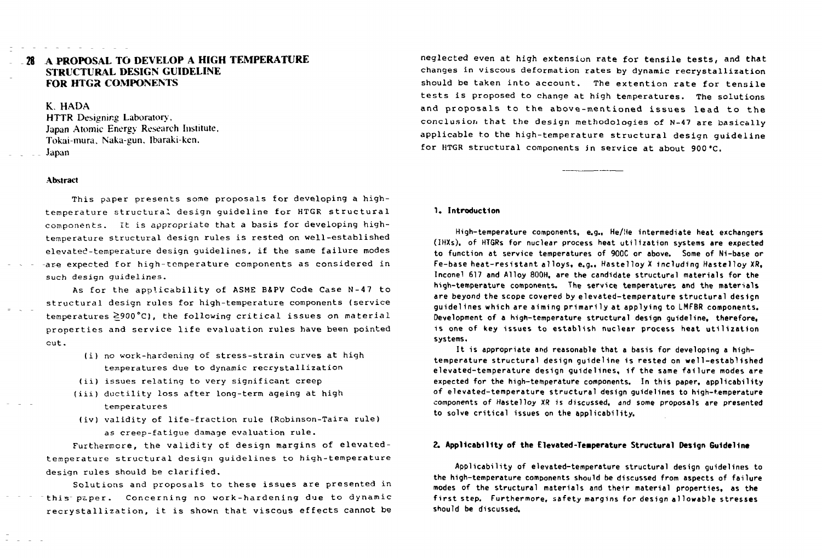# **28 A PROPOSAL TO DEVELOP A HIGH TEMPERATURE STRUCTURAL DESIGN GUIDELINE FOR HTGR COMPONENTS**

### K. HADA

HTTR Designing Laboratory, Japan Atomic Energy Research Institute, Tokai-mura, Naka-gun, Ibaraki-ken,  $Japan$ 

### **Abstract**

This paper presents some proposals for developing a hightemperature structural design guideline for HTGR structural components. It is appropriate that a basis for developing hightemperature structural design rules is rested on well-established elevated-temperature design quidelines, if the same failure modes -are expected for high-temperature components as considered in such design quidelines.

As for the applicability of ASME B&PV Code Case N-47 to structural design rules for high-temperature components (service temperatures 2900°C), the following critical issues on material properties and service life evaluation rules have been pointed cut .

- (i) no work-hardening of stress-strain curves at high temperatures due to dynamic recrystallization
- (ii) issues relating to very significant creep
- (iii) ductility loss after long-term ageing at high temperatures
- (iv) validity of life-fraction rule (Robinson-Taira rule) as creep-fatique damage evaluation rule.

Furthermore, the validity of design margins of elevatedtemperature structural design quidelines to high-temperature design rules should be clarified.

Solutions and proposals to these issues are presented in this paper. Concerning no work-hardening due to dynamic recrystallization, it is shown that viscous effects cannot be

neglected even at high extension rate for tensile tests, and that changes in viscous deformation rates by dynamic recrystallization should be taken into account. The extention rate for tensile tests is proposed to change at high temperatures. The solutions and proposals to the above-mentioned issues lead to the conclusion that the design methodologies of N-47 are basically applicable to the high-temperature structural design quideline for HTGR structural components in service at about 900 °C.

#### 1 . **Introduction**

High-temperature components, e.g., He/He intermediate heat exchangers (IHXs), of HTGRs for nuclear process heat utilization systems are expected to function at service temperatures of 900C or above. Some of Ni-base or Fe-base heat-resistant alloys, e.g., Hastelloy X including Hastelloy XR, Inconel 617 and Alloy 800H, are the candidate structural materials for the high-temperature components. The service temperatures and the materials are beyond the scope covered by elevated-temperature structural design guidelines which are aiming primaril y at applying to LMFBR components. Development of a high-temperature structural design guideline, therefore, is one of key issues to establish nuclear process heat utilization systems.

It is appropriate and reasonable that a basis for developing a hightemperature structural design quideline is rested on well-established elevated-temperature design guidelines, if the same failure modes are expected for the high-temperature components. In this paper, applicability of elevated-temperature structural design guidelines to high-temperature components of Hastelloy XR is discussed, *and* some proposals are presented to solve critical issues on the applicability.

### 2. **Applicability of the Elevated-Temperature Structural Design Guideline**

Applicability of elevated-temperature structural design quidelines to the high-temperature components should be discussed from aspects of failure modes of the structural materials and their material properties, as the first step. Furthermore, safety margins for design allowable stresses should be discussed.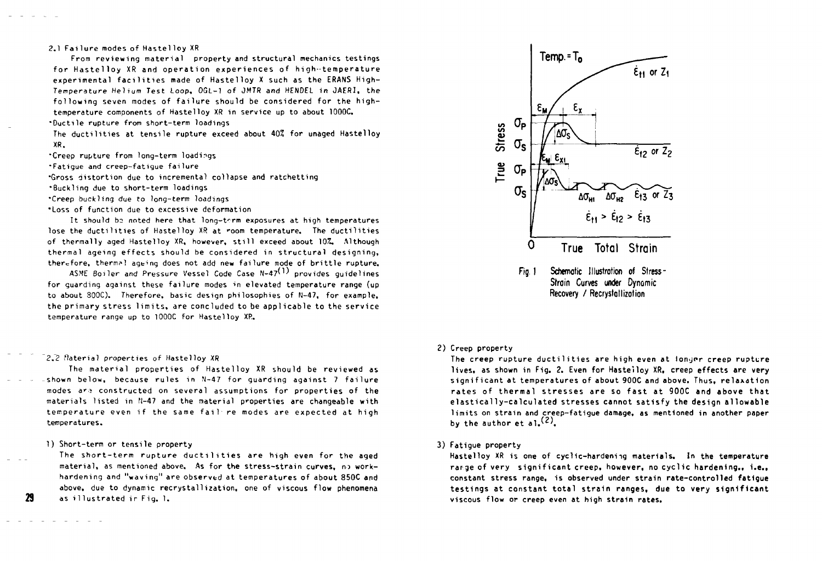### 2.1 Failure modes of Hastelloy XR

From reviewing material property and structural mechanics testings for Hastelloy XR and operation experiences of high-temperature experimental facilities made of Hastelloy X such as the ERANS High-Temperature Helium Test Loop, OGL-1 of JMTR and HENDEL in JAERI, the following seven modes of failure should be considered for the hightemperature components of Hastelloy XR in service up to about 1000C. •Ductile rupture from short-term loadings

The ductilities at tensile rupture exceed about 40% for unaged Hastelloy XR.

•Creep rupture from long-term loadings

•Fatique and creep-fatique failure

•Gross distortion due to incremental collapse and ratchetting

•Buckling due to short-term loadings

•Creep buckling due to long-term loadings

"Loss of function due to excessive deformation

It should be noted here that long-term exposures at high temperatures lose the ductilities of Hastelloy XR at room temperature. The ductilities of thermally aged Hastelloy XR, however, still exceed about 10%. Although thermal ageing effects should be considered in structural designing, therefore, thermal ageing does not add new failure mode of brittle rupture.

ASME Boiler and Pressure Vessel Code Case  $N-47$ <sup>(1)</sup> provides quidelines for guarding against these failure modes in elevated temperature range (up to about 300C). Therefore, basic design philosophies of N-47, for example, the primary stress limits, are concluded to be applicable to the service temperature range up to 1000C for Hastelloy XP.

#### *2.2* Material properties of Hastelloy XR

The material properties of Hastelloy XR should be reviewed as -shown below, because rules in  $N-47$  for guarding against 7 failure modes are constructed on several assumptions for properties of the materials listed in fl-47 and the material properties are changeable with temperature even if the same fail re modes are expected at high temperatures.

The short-term rupture ductilities are high even for the aged material, as mentioned above. As for the stress-strain curves, no workhardening and "waving" are observed at temperatures of about 850C and above, due to dynamic recrystallization, one of viscous flow phenomena as illustrated ir Fig. 1.



#### 2) Creep property

The creep rupture ductilities are high even at longer creep rupture lives. as shown in Fig. 2. Even for Hastelloy XR, creep effects are very significant at temperatures of about 900C and above. Thus, relaxation rates of thermal stresses are so fast at 900C and above that elastically-calculated stresses cannot satisfy the design allowable limits on strain and creep-fatigue damage, as mentioned in another paper by the author et al.  $(2)$ .

#### 3) Fatigue property

Hastelloy XR is one of cyclic-hardening materials. In the temperature rarge of very significant creep, however, no cyclic hardening., i.e., constant stress range, is observed under strain rate-controlled fatigue testings at constant total strain ranges, due to very significant viscous flow or creep even at high strain rates.

29

<sup>1)</sup> Short-term or tensile property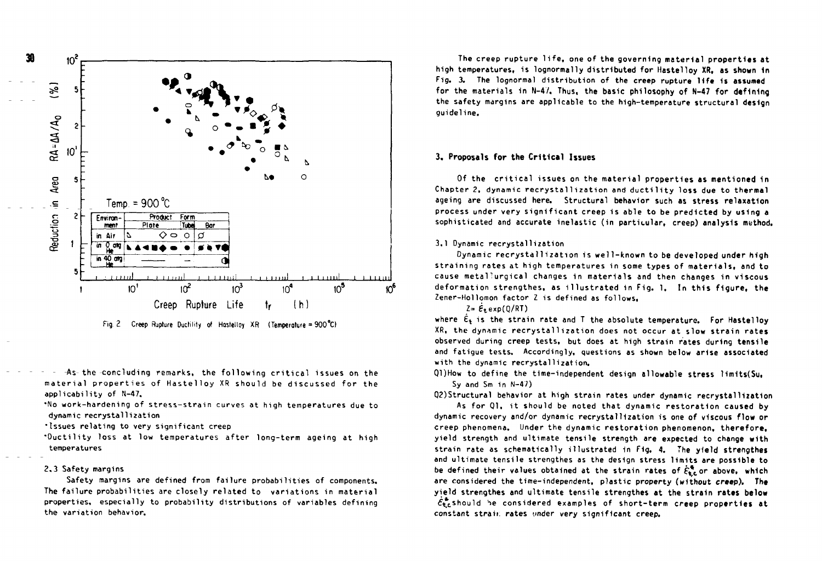



-As- the -concluding remarks, the following critical issues on the material properties of Hastellov XR should be discussed for the applicability of N-47.

\*No work-hardening of stress-strain curves at high temperatures due to dynamic recrystallization

'Issues relating to very significant creep

"Ductility loss at low temperatures after long-term ageing at high temperatures

### 2.3 Safety margins

Safety margins are defined from failure probabilities of components. The failure probabilities are closely related to variations in material properties, especially to probability distributions of variables defining the variation behavior.

The creep rupture life, one of the governing material properties at high temperatures, is lognormally distributed for Hastelloy XR, as shown in Fig. 3. The lognormal distribution of the creep rupture life is assumed for the materials in N-47. Thus, the basic philosophy of N-47 for defining the safety margins are applicable to the high-temperature structural design guideline .

### 3 . **Proposals for the Critica l Issues**

Of the critical issues on the material properties as mentioned in Chapter 2, dynamic recrystallization and ductility loss due to thermal ageing are discussed here. Structural behavior such as stress relaxation process under very significant creep is able to be predicted by using a sophisticated and accurate inelastic (in particular, creep) analysis method.

### 3.1 Dynamic recrystallization

Dynamic recrystallization is well-known to be developed under high straining rates at high temperatures in some types of materials, and to cause metallurgical changes in materials and then changes in viscous deformation strengthes, as illustrated in Fig. 1. In this figure, the Zener-Hollomon factor Z is defined as follows,

### $Z = E_t$ exp( $0/RT$ )

where  $\epsilon_{\rm t}$  is the strain rate and T the absolute temperature. For Hastellov XR, the dynamic recrystallization does not occur at slow strain rates observed during creep tests, but does at high strain rates during tensile and fatigue tests. Accordingly, questions as shown below arise associated with the dynamic recrystallization.

Ql)How to define the time-independent design allowable stress limits(Su. Sy and Sm in  $N-47$ )

Q2)Structural behavior at high strain rates under dynamic recrystallization

As for Q1, it should be noted that dynamic restoration caused by dynamic recovery and/or dynamic recrystallization is one of viscous flow or creep phenomena. Under the dynamic restoration phenomenon, therefore. yield strength and ultimate tensile strength are expected to change with strain rate as schematically illustrated in Fig. 4. The yield strengthes and ultimate tensile strengthes as the design stress limits are possible to be defined their values obtained at the strain rates of  $\dot{\xi}_{\text{te}}^*$  or above, which are considered the time-independent, plastic property (without creep). The yield strengthes and ultimate tensile strengthes at the strain rates below  $\epsilon_{\rm t}^*$  should be considered examples of short-term creep properties at constant strain rates under very significant creep.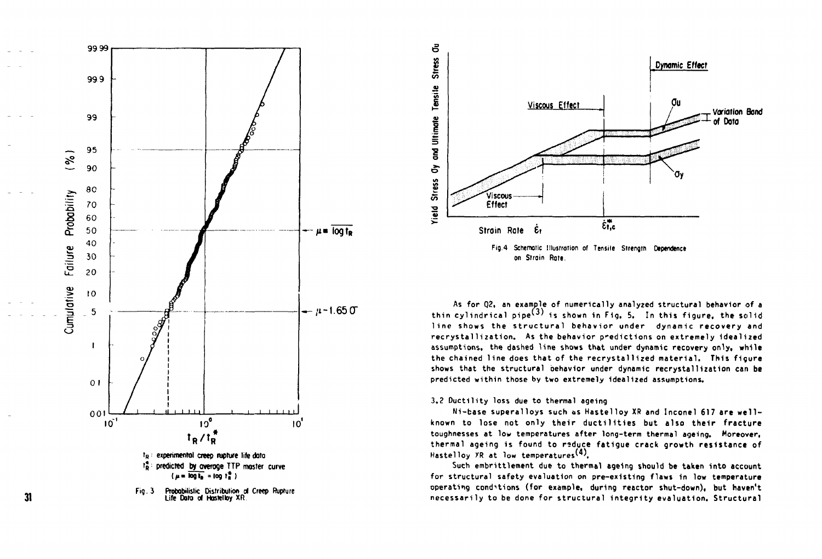





**As for Q2t an example of numerically analyzed structural behavior of a**  thin cylindrical pipe<sup>(3)</sup> is shown in Fig. 5. In this figure, the solid line shows the structural behavior under dynamic recovery and **recrystal1ization. As the behavior predictions on extremely idealized assumptions, the dashed line shows that under dynamic recovery only, while the chained line does that of the recrystal 1 ized material. This figure shows that the structural behavior under dynamic recrystal1ization can be predicted within those by two extremely idealized assumptions.** 

**3.2 Ductility loss due to thermal ageing** 

**Ni-base superalloys such os Hastelloy XR and Inconel 617 are well known to lose not only their ductilitie s but also their fracture toughnesses at low temperatures after long-term thermal ageing. Moreover, thermal ageing is found to rsduce fatigue crack growth resistance of**  Hastelloy XR at low temperatures<sup>(4)</sup>.

Such embrittlement due to thermal ageing should be taken into account **for structural safety evaluation on pre-existing flaws in low temperature operating conditions (for example, during reactor shut-down), but haven't necessarily to be done for structural integrit y evaluation. Structural** 

**31**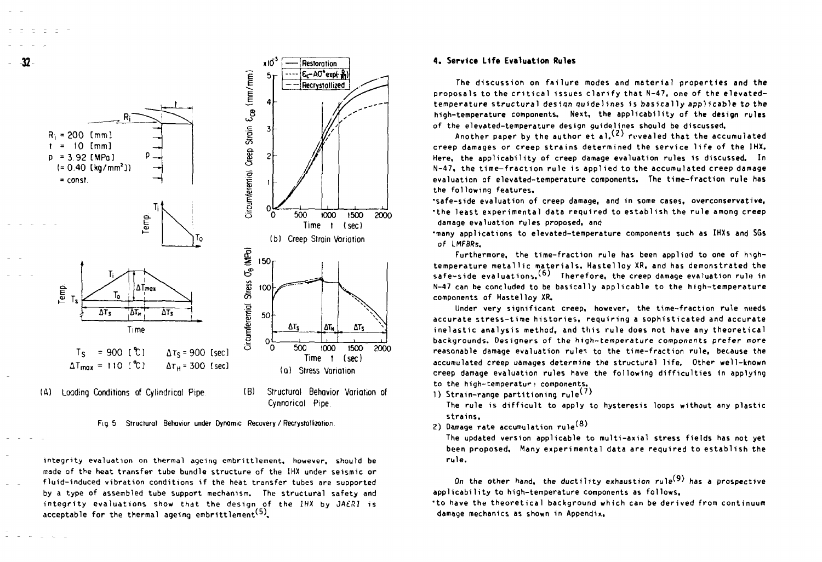



integrity evaluation on thermal ageing embrittlement, however, should be made of the heat transfer tube bundle structure of the IHX under seismic or fluid-induced vibration conditions if the heat transfer tubes are supported by a type of assembled tube support mechanism. The structural safety and integrity evaluations show that the design of the IHX by JAERI is acceptable for the thermal ageing embrittlement<sup>(5)</sup>,

#### **4. Service Life Evaluation Rules**

The discussion on failure modes and material properties and the proposals to the critical issues clarify that N-47, one of the elevatedtemperature structural design quidelines is basically applicable to the high-temperature components. Next, the applicability of the design rules of the elevated-temperature design guidelines should be discussed.

Another paper by the author et al.  $(2)$  revealed that the accumulated creep damages or creep strains determined the service life of the IHX. Here, the applicability of creep damage evaluation rules is discussed. In  $N-47$ , the time-fraction rule is applied to the accumulated creep damage evaluation of elevated-temperature components. The time-fraction rule has the following features.

•safe-side evaluation of creep damage, and in some cases, overconservative, \*the least experimental data required to establish the rule among creep damage evaluation rules proposed, and

•many applications to elevated-temperature components such as IHXs and SGs of LMFBRs.

Furthermore, the time-fraction rule has been applied to one of hightemperature metallic materials, Hastelloy XR, and has demonstrated the safe-side evaluations.<sup>(6)</sup> Therefore, the creep damage evaluation rule in N-47 can be concluded to be basically applicable to the high-temperature components of Hastelloy XR.

Under very significant creep, however, the time-fraction rule needs accurate stress-time histories, requiring a sophisticated and accurate inelastic analysis method, and this rule does not have any theoretical backgrounds. Designers of the high-temperature components prefer more reasonable damage evaluation rules to the time-fraction rule, because the accumulated creep uamages determine the structural life. Other well-known creep damage evaluation rules have the following difficulties in applying to the high-temperatur • components.

1) Strain-range partitioning rule<sup> $(7)$ </sup>

The rule is difficult to apply to hysteresis loops without any plastic strains .

2) Damage rate accumulation  $rule^{(8)}$ 

The updated version applicable to multi-axial stress fields has not yet been proposed. Many experimental data are required to establish the rule.

On the other hand, the ductility exhaustion rule<sup>(9)</sup> has a prospective applicability to high-temperature components as follows.

\*to have the theoretical background which can be derived from continuum damage mechanics as shown in Appendix,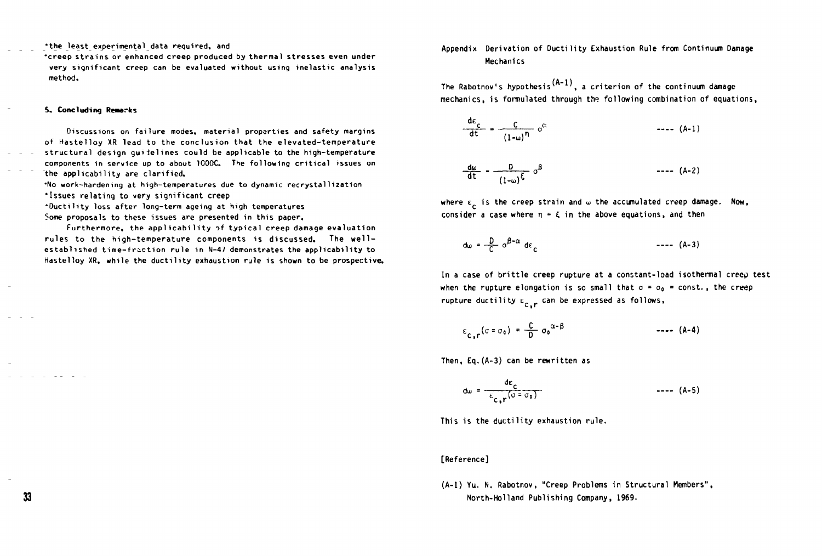**•the least experimental data required, and** 

**•creep strains or enhanced creep produced by thermal stresses even under very significant creep can be evaluated without using inelastic analysis method.** 

#### 5. **Concluding Remarks**

Discussions on failure modes, material properties and safety margins of Hastelloy XR lead to the conclusion that the elevated-temperature structural design guidelines could be applicable to the high-temperature components in service up to about 1000C. The following critical issues on the applicability are clarified.

•No work-hardening at high-temperatures due to dynamic recrystallization

•Issues relating to very significant creep

\*Ductility loss after long-term ageing at high temperatures

Some proposals to these issues are presented in this paper.

Furthermore, the applicability of typical creep damage evaluation rules to the high-temperature components is discussed. The wellestablished time-fraction rule in N-47 demonstrates the applicability to Hastelloy XR, while the ductility exhaustion rule is shown to be prospective.

# Appendix Derivation of Ductility Exhaustion Rule from Continuum Damage Mechanics

The Rabotnov's hypothesis<sup>(A-1)</sup>, a criterion of the continuum damage mechanics, is formulated through the following combination of equations,

$$
\frac{de_C}{dt} = \frac{C}{(1-\omega)^n} \sigma^c
$$
--- (A-1)  

$$
\frac{d\omega}{dt} = \frac{D}{(1-\omega)^{\xi}} \sigma^{\beta}
$$
--- (A-2)

where  $\varepsilon_{\rm c}$  is the creep strain and  $\omega$  the accumulated creep damage. Now, consider a case where  $\eta = \xi$  in the above equations, and then

$$
d\omega = \frac{D}{C} \, \sigma^{\beta - \alpha} \, d\varepsilon \tag{A-3}
$$

In a case of brittle creep rupture at a constant-load isothermal creep test when the rupture elongation is so small that  $\sigma = \sigma_0 = const.$ , the creep rupture ductility  $\epsilon_{_{\text{\tiny C}},r}$  can be expressed as follows,

$$
\epsilon_{c,r}(\sigma = \sigma_0) = \frac{C}{D} \sigma_0^{\alpha - \beta} \qquad \qquad \text{---} \quad (A-4)
$$

Then, Eq.(A-3) can be rewritten as

$$
dw = \frac{de_c}{\epsilon_{c,r}(0.5 \text{ eV})}
$$

This is the ductility exhaustion rule.

## **[Reference]**

(A-l) Yu. N. Rabotnov, "Creep Problems in Structural Members", North-Holland Publishing Company, 1969.